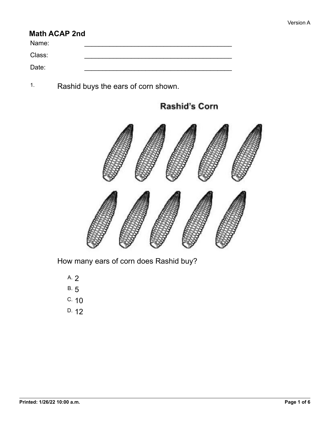## **Math ACAP 2nd**

Name: \_\_\_\_\_\_\_\_\_\_\_\_\_\_\_\_\_\_\_\_\_\_\_\_\_\_\_\_\_\_\_\_\_\_\_\_\_\_\_\_\_ Class: \_\_\_\_\_\_\_\_\_\_\_\_\_\_\_\_\_\_\_\_\_\_\_\_\_\_\_\_\_\_\_\_\_\_\_\_\_\_\_\_\_ Date: \_\_\_\_\_\_\_\_\_\_\_\_\_\_\_\_\_\_\_\_\_\_\_\_\_\_\_\_\_\_\_\_\_\_\_\_\_\_\_\_\_

1. Rashid buys the ears of corn shown.

**Rashid's Corn** 



How many ears of corn does Rashid buy?

- A. 2
- B. 5
- C. 10
- D. 12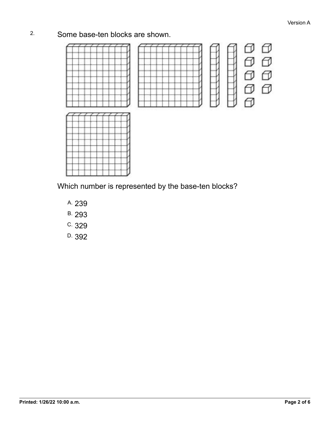## 2. Some base-ten blocks are shown.



Which number is represented by the base-ten blocks?

- A. 239
- B. 293
- C. 329
- D. 392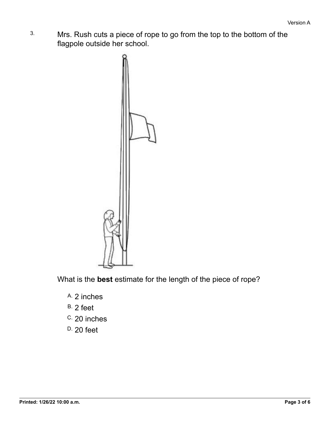3. Mrs. Rush cuts a piece of rope to go from the top to the bottom of the flagpole outside her school.



What is the **best** estimate for the length of the piece of rope?

- A. 2 inches
- B. 2 feet
- C. 20 inches
- D. 20 feet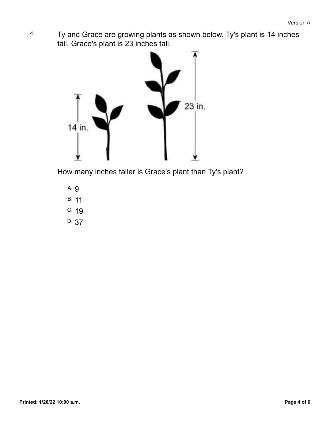4. Ty and Grace are growing plants as shown below. Ty's plant is 14 inches tall. Grace's plant is 23 inches tall.



How many inches taller is Grace's plant than Ty's plant?

- A. 9
- B. 11
- C. 19
- D. 37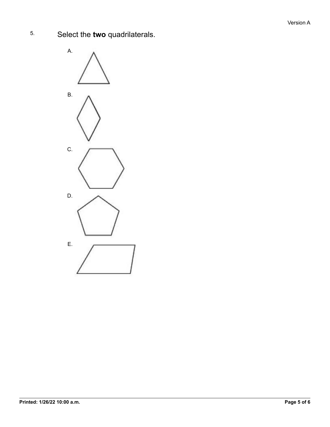5. Select the **two** quadrilaterals.